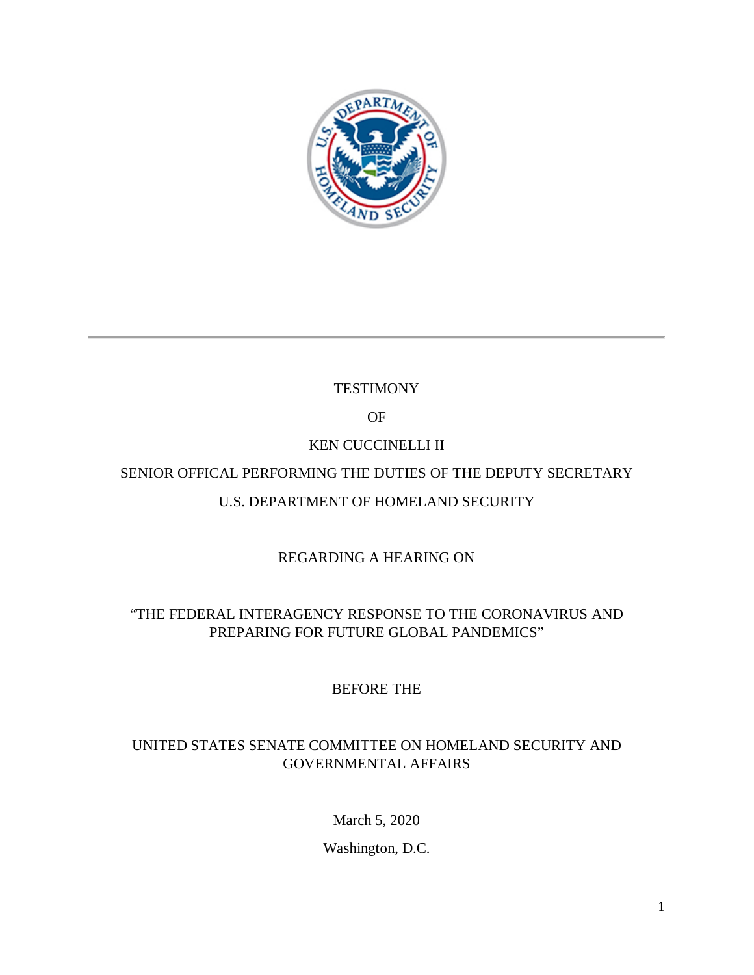

# **TESTIMONY**

### OF

# KEN CUCCINELLI II

# SENIOR OFFICAL PERFORMING THE DUTIES OF THE DEPUTY SECRETARY

# U.S. DEPARTMENT OF HOMELAND SECURITY

# REGARDING A HEARING ON

# "THE FEDERAL INTERAGENCY RESPONSE TO THE CORONAVIRUS AND PREPARING FOR FUTURE GLOBAL PANDEMICS"

# BEFORE THE

### UNITED STATES SENATE COMMITTEE ON HOMELAND SECURITY AND GOVERNMENTAL AFFAIRS

March 5, 2020

Washington, D.C.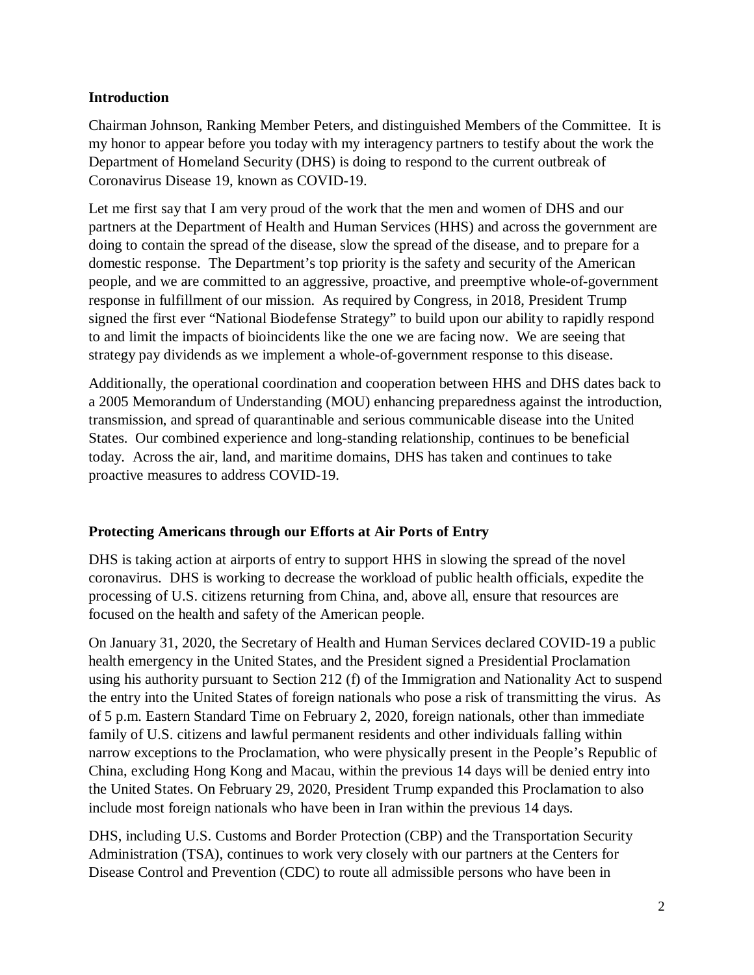### **Introduction**

Chairman Johnson, Ranking Member Peters, and distinguished Members of the Committee. It is my honor to appear before you today with my interagency partners to testify about the work the Department of Homeland Security (DHS) is doing to respond to the current outbreak of Coronavirus Disease 19, known as COVID-19.

Let me first say that I am very proud of the work that the men and women of DHS and our partners at the Department of Health and Human Services (HHS) and across the government are doing to contain the spread of the disease, slow the spread of the disease, and to prepare for a domestic response. The Department's top priority is the safety and security of the American people, and we are committed to an aggressive, proactive, and preemptive whole-of-government response in fulfillment of our mission. As required by Congress, in 2018, President Trump signed the first ever "National Biodefense Strategy" to build upon our ability to rapidly respond to and limit the impacts of bioincidents like the one we are facing now. We are seeing that strategy pay dividends as we implement a whole-of-government response to this disease.

Additionally, the operational coordination and cooperation between HHS and DHS dates back to a 2005 Memorandum of Understanding (MOU) enhancing preparedness against the introduction, transmission, and spread of quarantinable and serious communicable disease into the United States. Our combined experience and long-standing relationship, continues to be beneficial today. Across the air, land, and maritime domains, DHS has taken and continues to take proactive measures to address COVID-19.

### **Protecting Americans through our Efforts at Air Ports of Entry**

DHS is taking action at airports of entry to support HHS in slowing the spread of the novel coronavirus. DHS is working to decrease the workload of public health officials, expedite the processing of U.S. citizens returning from China, and, above all, ensure that resources are focused on the health and safety of the American people.

On January 31, 2020, the Secretary of Health and Human Services declared COVID-19 a public health emergency in the United States, and the President signed a Presidential Proclamation using his authority pursuant to Section 212 (f) of the Immigration and Nationality Act to suspend the entry into the United States of foreign nationals who pose a risk of transmitting the virus. As of 5 p.m. Eastern Standard Time on February 2, 2020, foreign nationals, other than immediate family of U.S. citizens and lawful permanent residents and other individuals falling within narrow exceptions to the Proclamation, who were physically present in the People's Republic of China, excluding Hong Kong and Macau, within the previous 14 days will be denied entry into the United States. On February 29, 2020, President Trump expanded this Proclamation to also include most foreign nationals who have been in Iran within the previous 14 days.

DHS, including U.S. Customs and Border Protection (CBP) and the Transportation Security Administration (TSA), continues to work very closely with our partners at the Centers for Disease Control and Prevention (CDC) to route all admissible persons who have been in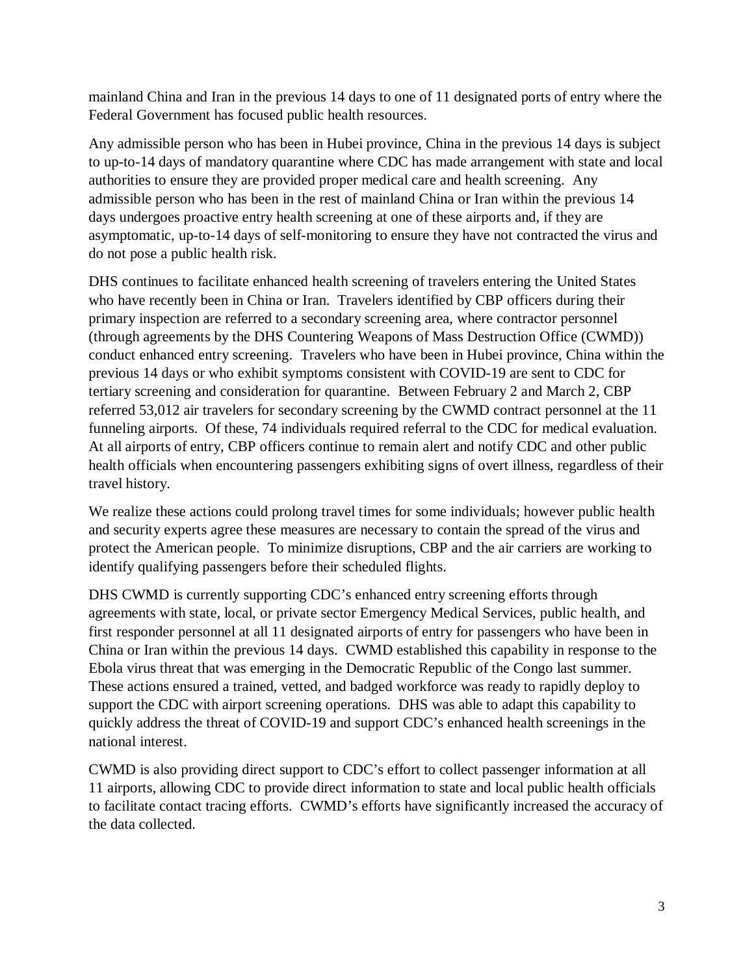mainland China and Iran in the previous 14 days to one of 11 designated ports of entry where the Federal Government has focused public health resources.

Any admissible person who has been in Hubei province, China in the previous 14 days is subject to up-to-14 days of mandatory quarantine where CDC has made arrangement with state and local authorities to ensure they are provided proper medical care and health screening. Any admissible person who has been in the rest of mainland China or Iran within the previous 14 days undergoes proactive entry health screening at one of these airports and, if they are asymptomatic, up-to-14 days of self-monitoring to ensure they have not contracted the virus and do not pose a public health risk.

DHS continues to facilitate enhanced health screening of travelers entering the United States who have recently been in China or Iran. Travelers identified by CBP officers during their primary inspection are referred to a secondary screening area, where contractor personnel (through agreements by the DHS Countering Weapons of Mass Destruction Office (CWMD)) conduct enhanced entry screening. Travelers who have been in Hubei province, China within the previous 14 days or who exhibit symptoms consistent with COVID-19 are sent to CDC for tertiary screening and consideration for quarantine. Between February 2 and March 2, CBP referred 53,012 air travelers for secondary screening by the CWMD contract personnel at the 11 funneling airports. Of these, 74 individuals required referral to the CDC for medical evaluation. At all airports of entry, CBP officers continue to remain alert and notify CDC and other public health officials when encountering passengers exhibiting signs of overt illness, regardless of their travel history.

We realize these actions could prolong travel times for some individuals; however public health and security experts agree these measures are necessary to contain the spread of the virus and protect the American people. To minimize disruptions, CBP and the air carriers are working to identify qualifying passengers before their scheduled flights.

DHS CWMD is currently supporting CDC's enhanced entry screening efforts through agreements with state, local, or private sector Emergency Medical Services, public health, and first responder personnel at all 11 designated airports of entry for passengers who have been in China or Iran within the previous 14 days. CWMD established this capability in response to the Ebola virus threat that was emerging in the Democratic Republic of the Congo last summer. These actions ensured a trained, vetted, and badged workforce was ready to rapidly deploy to support the CDC with airport screening operations. DHS was able to adapt this capability to quickly address the threat of COVID-19 and support CDC's enhanced health screenings in the national interest.

CWMD is also providing direct support to CDC's effort to collect passenger information at all 11 airports, allowing CDC to provide direct information to state and local public health officials to facilitate contact tracing efforts. CWMD's efforts have significantly increased the accuracy of the data collected.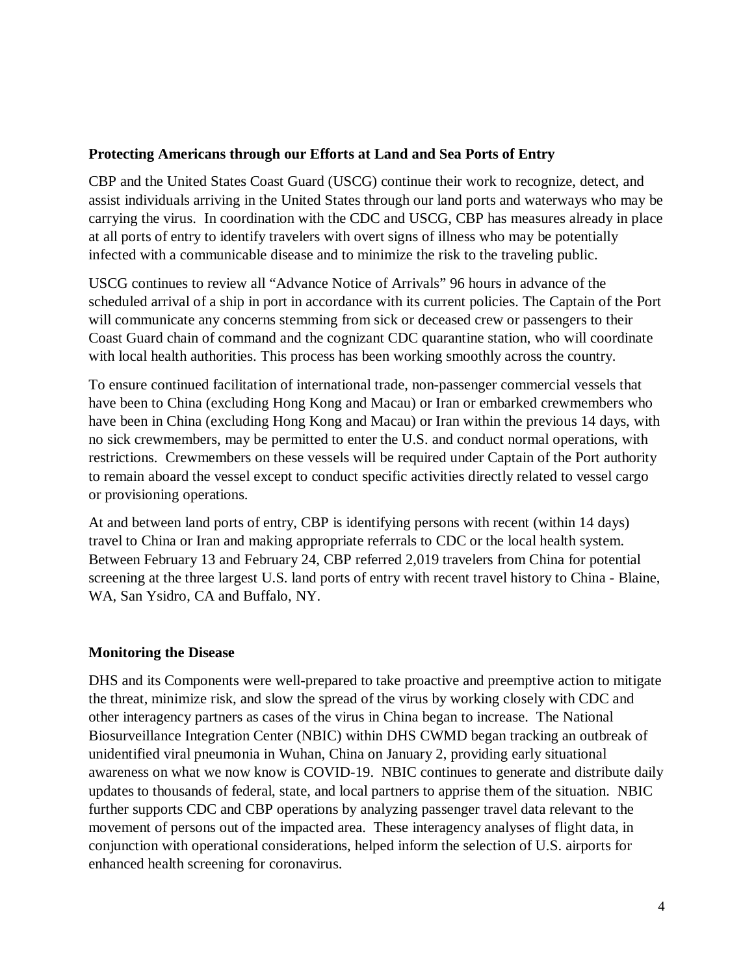#### **Protecting Americans through our Efforts at Land and Sea Ports of Entry**

CBP and the United States Coast Guard (USCG) continue their work to recognize, detect, and assist individuals arriving in the United States through our land ports and waterways who may be carrying the virus. In coordination with the CDC and USCG, CBP has measures already in place at all ports of entry to identify travelers with overt signs of illness who may be potentially infected with a communicable disease and to minimize the risk to the traveling public.

USCG continues to review all "Advance Notice of Arrivals" 96 hours in advance of the scheduled arrival of a ship in port in accordance with its current policies. The Captain of the Port will communicate any concerns stemming from sick or deceased crew or passengers to their Coast Guard chain of command and the cognizant CDC quarantine station, who will coordinate with local health authorities. This process has been working smoothly across the country.

To ensure continued facilitation of international trade, non-passenger commercial vessels that have been to China (excluding Hong Kong and Macau) or Iran or embarked crewmembers who have been in China (excluding Hong Kong and Macau) or Iran within the previous 14 days, with no sick crewmembers, may be permitted to enter the U.S. and conduct normal operations, with restrictions. Crewmembers on these vessels will be required under Captain of the Port authority to remain aboard the vessel except to conduct specific activities directly related to vessel cargo or provisioning operations.

At and between land ports of entry, CBP is identifying persons with recent (within 14 days) travel to China or Iran and making appropriate referrals to CDC or the local health system. Between February 13 and February 24, CBP referred 2,019 travelers from China for potential screening at the three largest U.S. land ports of entry with recent travel history to China - Blaine, WA, San Ysidro, CA and Buffalo, NY.

### **Monitoring the Disease**

DHS and its Components were well-prepared to take proactive and preemptive action to mitigate the threat, minimize risk, and slow the spread of the virus by working closely with CDC and other interagency partners as cases of the virus in China began to increase. The National Biosurveillance Integration Center (NBIC) within DHS CWMD began tracking an outbreak of unidentified viral pneumonia in Wuhan, China on January 2, providing early situational awareness on what we now know is COVID-19. NBIC continues to generate and distribute daily updates to thousands of federal, state, and local partners to apprise them of the situation. NBIC further supports CDC and CBP operations by analyzing passenger travel data relevant to the movement of persons out of the impacted area. These interagency analyses of flight data, in conjunction with operational considerations, helped inform the selection of U.S. airports for enhanced health screening for coronavirus.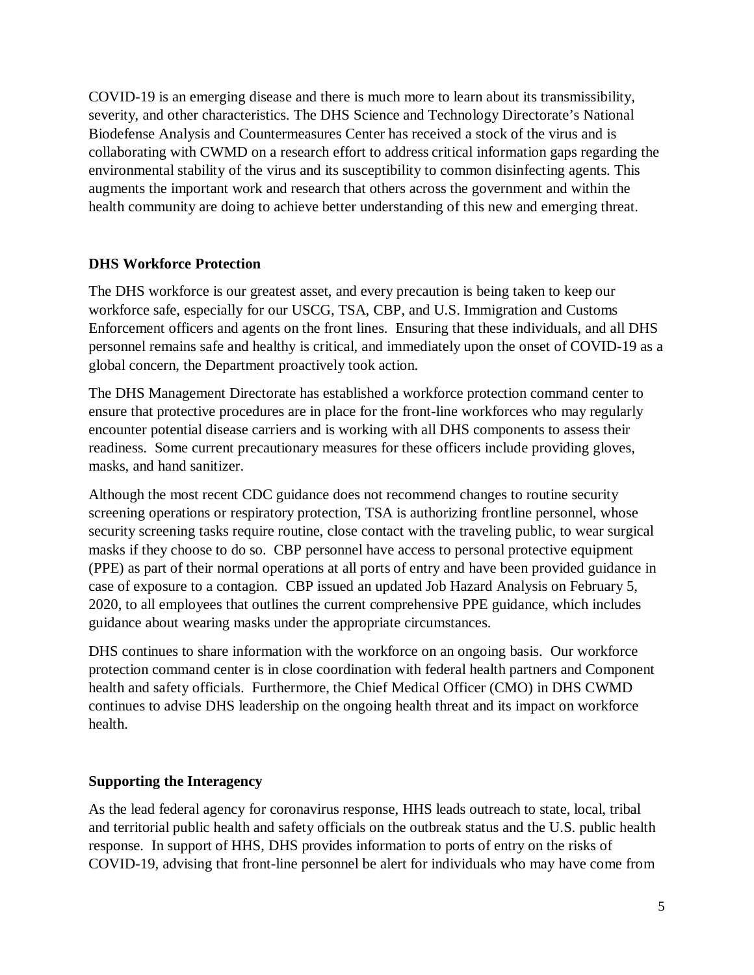COVID-19 is an emerging disease and there is much more to learn about its transmissibility, severity, and other characteristics. The DHS Science and Technology Directorate's National Biodefense Analysis and Countermeasures Center has received a stock of the virus and is collaborating with CWMD on a research effort to address critical information gaps regarding the environmental stability of the virus and its susceptibility to common disinfecting agents. This augments the important work and research that others across the government and within the health community are doing to achieve better understanding of this new and emerging threat.

### **DHS Workforce Protection**

The DHS workforce is our greatest asset, and every precaution is being taken to keep our workforce safe, especially for our USCG, TSA, CBP, and U.S. Immigration and Customs Enforcement officers and agents on the front lines. Ensuring that these individuals, and all DHS personnel remains safe and healthy is critical, and immediately upon the onset of COVID-19 as a global concern, the Department proactively took action.

The DHS Management Directorate has established a workforce protection command center to ensure that protective procedures are in place for the front-line workforces who may regularly encounter potential disease carriers and is working with all DHS components to assess their readiness. Some current precautionary measures for these officers include providing gloves, masks, and hand sanitizer.

Although the most recent CDC guidance does not recommend changes to routine security screening operations or respiratory protection, TSA is authorizing frontline personnel, whose security screening tasks require routine, close contact with the traveling public, to wear surgical masks if they choose to do so. CBP personnel have access to personal protective equipment (PPE) as part of their normal operations at all ports of entry and have been provided guidance in case of exposure to a contagion. CBP issued an updated Job Hazard Analysis on February 5, 2020, to all employees that outlines the current comprehensive PPE guidance, which includes guidance about wearing masks under the appropriate circumstances.

DHS continues to share information with the workforce on an ongoing basis. Our workforce protection command center is in close coordination with federal health partners and Component health and safety officials. Furthermore, the Chief Medical Officer (CMO) in DHS CWMD continues to advise DHS leadership on the ongoing health threat and its impact on workforce health.

### **Supporting the Interagency**

As the lead federal agency for coronavirus response, HHS leads outreach to state, local, tribal and territorial public health and safety officials on the outbreak status and the U.S. public health response. In support of HHS, DHS provides information to ports of entry on the risks of COVID-19, advising that front-line personnel be alert for individuals who may have come from